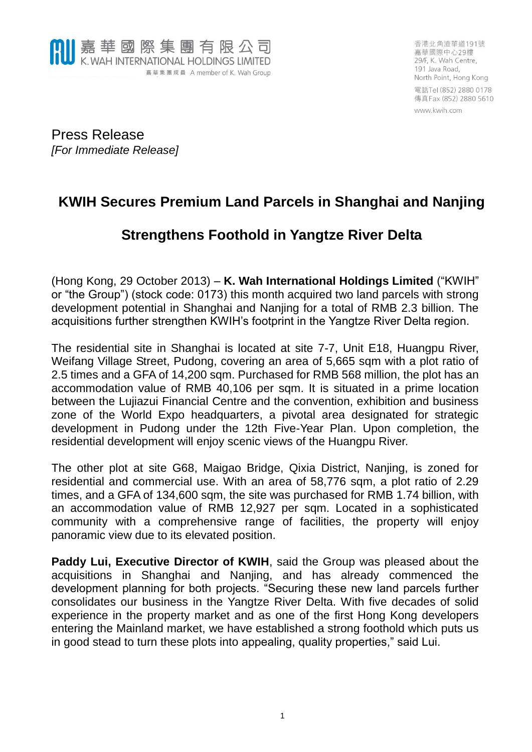

香港北角渣華道191號 嘉華國際中心29樓 29/F, K. Wah Centre, 191 Java Road, North Point, Hong Kong 電話Tel (852) 2880 0178 傳真Fax (852) 2880 5610

www.kwih.com

Press Release *[For Immediate Release]*

## **KWIH Secures Premium Land Parcels in Shanghai and Nanjing**

## **Strengthens Foothold in Yangtze River Delta**

(Hong Kong, 29 October 2013) – **K. Wah International Holdings Limited** ("KWIH" or "the Group") (stock code: 0173) this month acquired two land parcels with strong development potential in Shanghai and Nanjing for a total of RMB 2.3 billion. The acquisitions further strengthen KWIH's footprint in the Yangtze River Delta region.

The residential site in Shanghai is located at site 7-7, Unit E18, Huangpu River, Weifang Village Street, Pudong, covering an area of 5,665 sqm with a plot ratio of 2.5 times and a GFA of 14,200 sqm. Purchased for RMB 568 million, the plot has an accommodation value of RMB 40,106 per sqm. It is situated in a prime location between the Lujiazui Financial Centre and the convention, exhibition and business zone of the World Expo headquarters, a pivotal area designated for strategic development in Pudong under the 12th Five-Year Plan. Upon completion, the residential development will enjoy scenic views of the Huangpu River.

The other plot at site G68, Maigao Bridge, Qixia District, Nanjing, is zoned for residential and commercial use. With an area of 58,776 sqm, a plot ratio of 2.29 times, and a GFA of 134,600 sqm, the site was purchased for RMB 1.74 billion, with an accommodation value of RMB 12,927 per sqm. Located in a sophisticated community with a comprehensive range of facilities, the property will enjoy panoramic view due to its elevated position.

**Paddy Lui, Executive Director of KWIH**, said the Group was pleased about the acquisitions in Shanghai and Nanjing, and has already commenced the development planning for both projects. "Securing these new land parcels further consolidates our business in the Yangtze River Delta. With five decades of solid experience in the property market and as one of the first Hong Kong developers entering the Mainland market, we have established a strong foothold which puts us in good stead to turn these plots into appealing, quality properties," said Lui.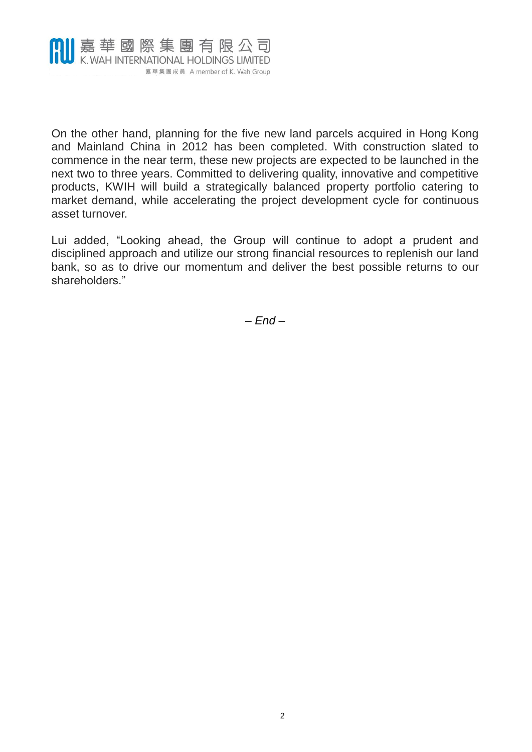

On the other hand, planning for the five new land parcels acquired in Hong Kong and Mainland China in 2012 has been completed. With construction slated to commence in the near term, these new projects are expected to be launched in the next two to three years. Committed to delivering quality, innovative and competitive products, KWIH will build a strategically balanced property portfolio catering to market demand, while accelerating the project development cycle for continuous asset turnover.

Lui added, "Looking ahead, the Group will continue to adopt a prudent and disciplined approach and utilize our strong financial resources to replenish our land bank, so as to drive our momentum and deliver the best possible returns to our shareholders."

*– End –*